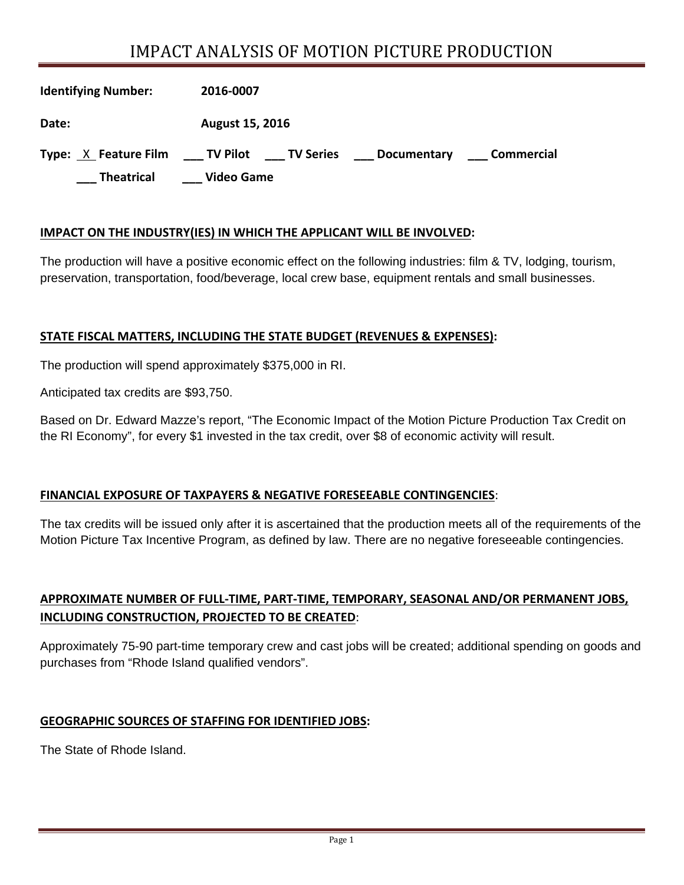# IMPACT ANALYSIS OF MOTION PICTURE PRODUCTION

| <b>Identifying Number:</b> | 2016-0007                                                        |
|----------------------------|------------------------------------------------------------------|
| Date:                      | <b>August 15, 2016</b>                                           |
| Type: X Feature Film       | ____ TV Pilot ____ TV Series<br>Commercial<br><b>Documentary</b> |
| <b>Theatrical</b>          | <b>Video Game</b>                                                |

### **IMPACT ON THE INDUSTRY(IES) IN WHICH THE APPLICANT WILL BE INVOLVED:**

The production will have a positive economic effect on the following industries: film & TV, lodging, tourism, preservation, transportation, food/beverage, local crew base, equipment rentals and small businesses.

### **STATE FISCAL MATTERS, INCLUDING THE STATE BUDGET (REVENUES & EXPENSES):**

The production will spend approximately \$375,000 in RI.

Anticipated tax credits are \$93,750.

Based on Dr. Edward Mazze's report, "The Economic Impact of the Motion Picture Production Tax Credit on the RI Economy", for every \$1 invested in the tax credit, over \$8 of economic activity will result.

### **FINANCIAL EXPOSURE OF TAXPAYERS & NEGATIVE FORESEEABLE CONTINGENCIES**:

The tax credits will be issued only after it is ascertained that the production meets all of the requirements of the Motion Picture Tax Incentive Program, as defined by law. There are no negative foreseeable contingencies.

## **APPROXIMATE NUMBER OF FULL‐TIME, PART‐TIME, TEMPORARY, SEASONAL AND/OR PERMANENT JOBS, INCLUDING CONSTRUCTION, PROJECTED TO BE CREATED**:

Approximately 75-90 part-time temporary crew and cast jobs will be created; additional spending on goods and purchases from "Rhode Island qualified vendors".

### **GEOGRAPHIC SOURCES OF STAFFING FOR IDENTIFIED JOBS:**

The State of Rhode Island.